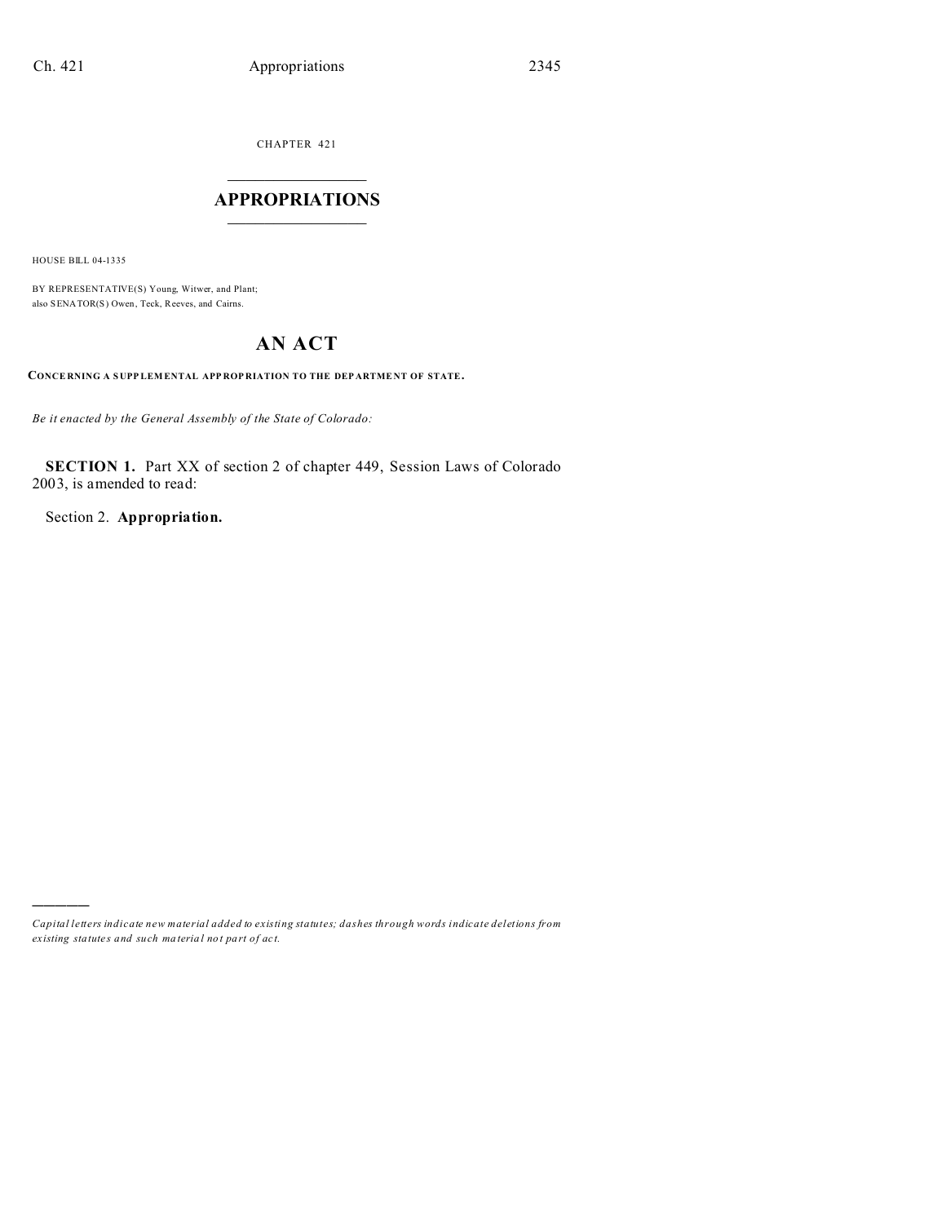CHAPTER 421

### $\overline{\phantom{a}}$  , where  $\overline{\phantom{a}}$ **APPROPRIATIONS**  $\_$   $\_$   $\_$   $\_$   $\_$   $\_$   $\_$   $\_$

HOUSE BILL 04-1335

)))))

BY REPRESENTATIVE(S) Young, Witwer, and Plant; also SENATOR(S) Owen, Teck, Reeves, and Cairns.

# **AN ACT**

**CONCE RNING A S UPP LEM ENTAL APP ROP RIATION TO THE DEP ARTME NT OF STATE.**

*Be it enacted by the General Assembly of the State of Colorado:*

**SECTION 1.** Part XX of section 2 of chapter 449, Session Laws of Colorado 2003, is amended to read:

Section 2. **Appropriation.**

*Capital letters indicate new material added to existing statutes; dashes through words indicate deletions from ex isting statute s and such ma teria l no t pa rt of ac t.*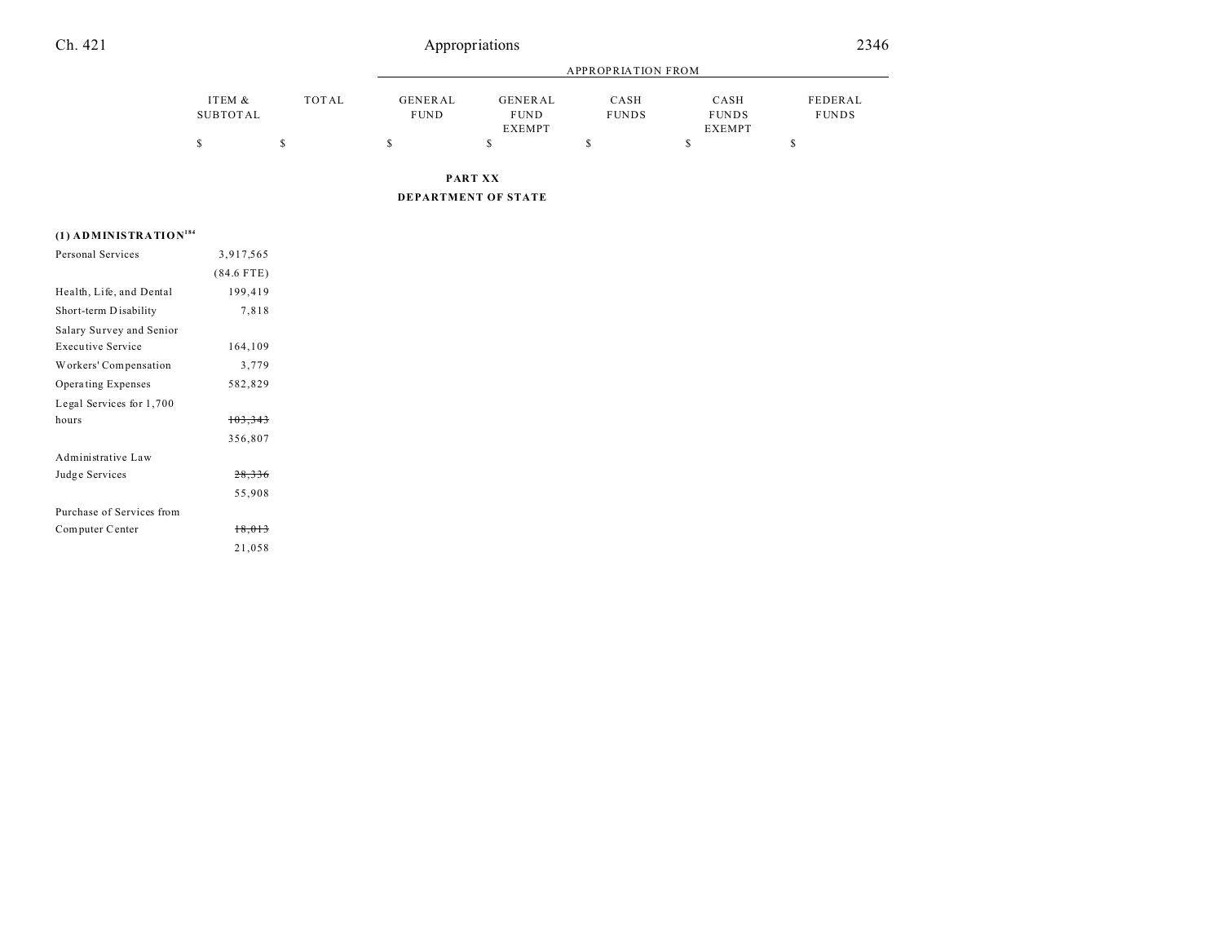## Ch. 421 Appropriations 2346

|          |       |             |               | APPROPRIATION FROM |               |              |
|----------|-------|-------------|---------------|--------------------|---------------|--------------|
| ITEM &   | TOTAL | GENERAL     | GENERAL       | CASH               | CASH          | FEDERAL      |
| SUBTOTAL |       | <b>FUND</b> | <b>FUND</b>   | <b>FUNDS</b>       | <b>FUNDS</b>  | <b>FUNDS</b> |
|          |       |             | <b>EXEMPT</b> |                    | <b>EXEMPT</b> |              |
|          |       |             |               |                    |               |              |

**PART XX**

**DEPARTMENT OF STATE**

### **(1) ADMINISTRATION<sup>184</sup>**

| Personal Services         | 3,917,565    |  |
|---------------------------|--------------|--|
|                           | $(84.6$ FTE) |  |
| Health, Life, and Dental  | 199,419      |  |
| Short-term Disability     | 7,818        |  |
| Salary Survey and Senior  |              |  |
| <b>Executive Service</b>  | 164,109      |  |
| Workers' Compensation     | 3,779        |  |
| Operating Expenses        | 582,829      |  |
| Legal Services for 1,700  |              |  |
| hours                     | 103,343      |  |
|                           | 356,807      |  |
| Administrative Law        |              |  |
| Judge Services            | 28,336       |  |
|                           | 55,908       |  |
| Purchase of Services from |              |  |
| Computer Center           | 18,013       |  |
|                           | 21,058       |  |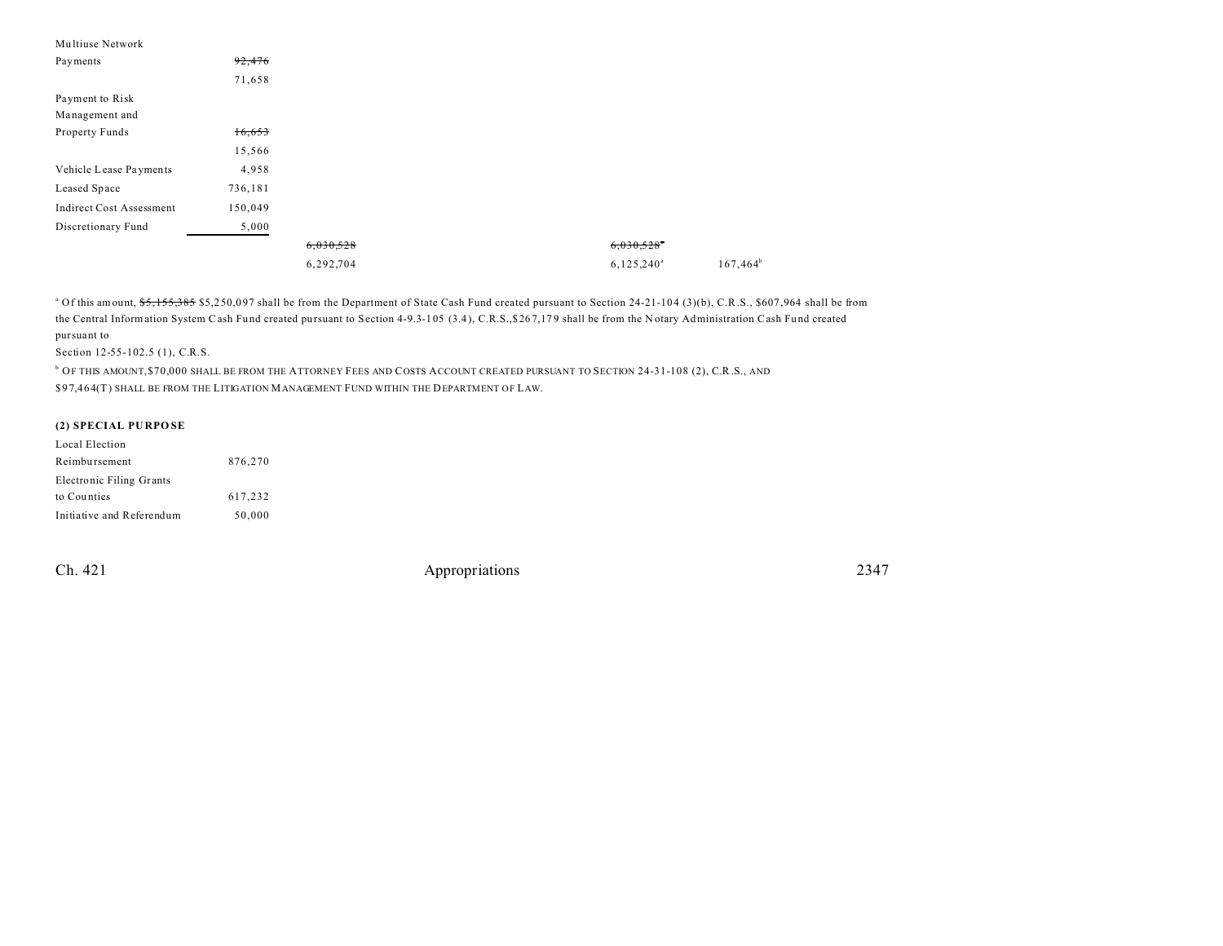| Multiuse Network                |         |           |                          |             |
|---------------------------------|---------|-----------|--------------------------|-------------|
| Payments                        | 92,476  |           |                          |             |
|                                 | 71,658  |           |                          |             |
| Payment to Risk                 |         |           |                          |             |
| Management and                  |         |           |                          |             |
| Property Funds                  | 16,653  |           |                          |             |
|                                 | 15,566  |           |                          |             |
| Vehicle Lease Payments          | 4,958   |           |                          |             |
| Leased Space                    | 736,181 |           |                          |             |
| <b>Indirect Cost Assessment</b> | 150,049 |           |                          |             |
| Discretionary Fund              | 5,000   |           |                          |             |
|                                 |         | 6,030,528 | $6,030,528$ <sup>*</sup> |             |
|                                 |         | 6,292,704 | $6,125,240^{\circ}$      | $167,464^b$ |

<sup>a</sup> Of this amount, \$5,155,385 \$5,250,097 shall be from the Department of State Cash Fund created pursuant to Section 24-21-104 (3)(b), C.R.S., \$607,964 shall be from the Central Information System Cash Fund created pursuant to Section 4-9.3-105 (3.4), C.R.S., \$267,179 shall be from the Notary Administration Cash Fund created pursuant to

Section 12-55-102.5 (1), C.R.S.

b OF THIS AMOUNT,\$70,000 SHALL BE FROM THE ATTORNEY FEES AND COSTS ACCOUNT CREATED PURSUANT TO SECTION 24-31-108 (2), C.R.S., AND \$97,464(T) SHALL BE FROM THE LITIGATION MANAGEMENT FUND WITHIN THE DEPARTMENT OF LAW.

#### **(2) SPECIAL PU RPO SE**

| Local Election                  |         |
|---------------------------------|---------|
| Reimbursement                   | 876,270 |
| <b>Electronic Filing Grants</b> |         |
| to Counties                     | 617.232 |
| Initiative and Referendum       | 50,000  |

Ch. 421 Appropriations 2347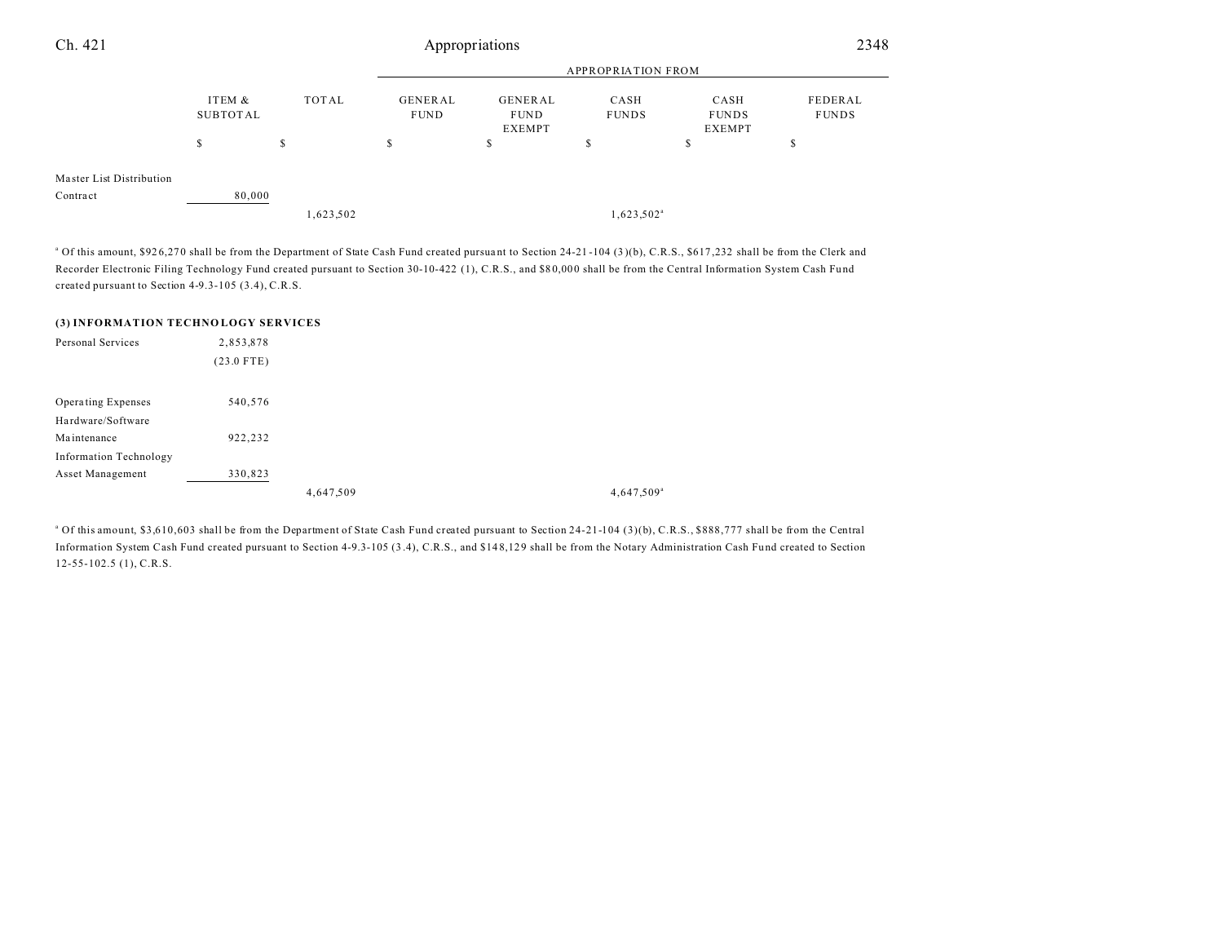| Ch. 421                              | Appropriations     |              |                               |                                                |                           | 2348                                  |                         |  |
|--------------------------------------|--------------------|--------------|-------------------------------|------------------------------------------------|---------------------------|---------------------------------------|-------------------------|--|
|                                      |                    |              |                               |                                                | <b>APPROPRIATION FROM</b> |                                       |                         |  |
|                                      | ITEM &<br>SUBTOTAL | <b>TOTAL</b> | <b>GENERAL</b><br><b>FUND</b> | <b>GENERAL</b><br><b>FUND</b><br><b>EXEMPT</b> | CASH<br><b>FUNDS</b>      | CASH<br><b>FUNDS</b><br><b>EXEMPT</b> | FEDERAL<br><b>FUNDS</b> |  |
|                                      | S                  | S            | \$                            | D.                                             | \$                        | S                                     | \$                      |  |
| Master List Distribution<br>Contract | 80,000             | 1,623,502    |                               |                                                | $1,623,502^{\mathrm{a}}$  |                                       |                         |  |

<sup>a</sup> Of this amount, \$926,270 shall be from the Department of State Cash Fund created pursuant to Section 24-21-104 (3)(b), C.R.S., \$617,232 shall be from the Clerk and Recorder Electronic Filing Technology Fund created pursuant to Section 30-10-422 (1), C.R.S., and \$80,000 shall be from the Central Information System Cash Fund created pursuant to Section 4-9.3-105 (3.4), C.R.S.

#### **(3) INFORMATION TECHNO LOGY SERVICES**

| Personal Services             | 2,853,878    |           |                        |
|-------------------------------|--------------|-----------|------------------------|
|                               | $(23.0$ FTE) |           |                        |
| Operating Expenses            | 540,576      |           |                        |
|                               |              |           |                        |
| Hardware/Software             |              |           |                        |
| Maintenance                   | 922,232      |           |                        |
| <b>Information Technology</b> |              |           |                        |
| Asset Management              | 330,823      |           |                        |
|                               |              | 4,647,509 | 4,647,509 <sup>a</sup> |

<sup>a</sup> Of this amount, \$3,610,603 shall be from the Department of State Cash Fund created pursuant to Section 24-21-104 (3)(b), C.R.S., \$888,777 shall be from the Central Information System Cash Fund created pursuant to Section 4-9.3-105 (3 .4), C.R.S., and \$14 8,12 9 shall be from the Notary Administration Cash Fu nd created to Section 12-55-102.5 (1), C.R.S.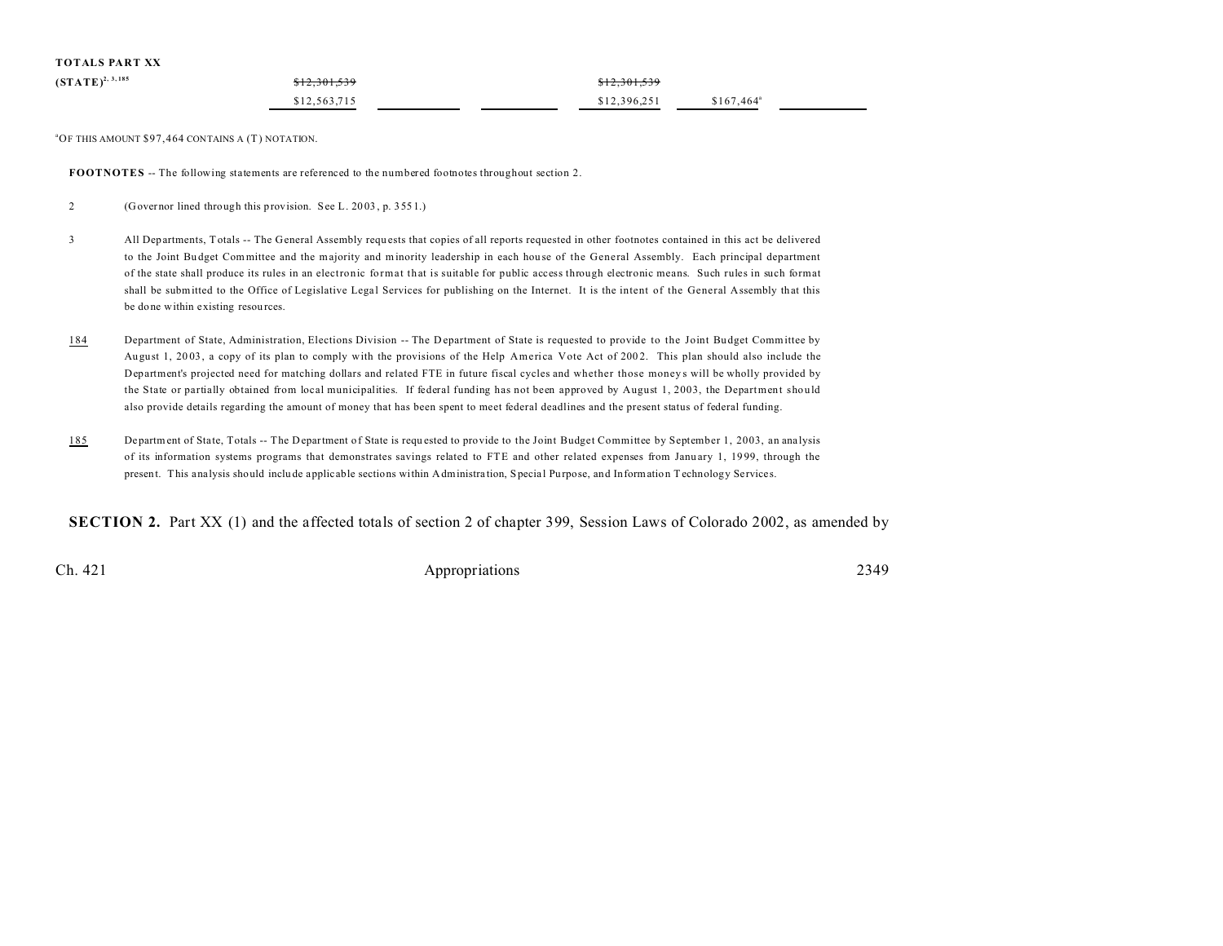| TOTALS PART XX        |              |              |                    |
|-----------------------|--------------|--------------|--------------------|
| $(STATE)^{2, 3, 185}$ | \$12,301,539 | \$12,301,539 |                    |
|                       | \$12,563,715 | \$12,396.251 | $$167,464^{\circ}$ |

 $^{\circ}$ OF THIS AMOUNT \$97,464 CONTAINS A (T) NOTATION.

**FOOTNOTES** -- The following statements are referenced to the numbered footnotes throughout section 2.

2 (Governor lined through this provision. See L. 20 03 , p. 355 1.)

- 3 All Departments, Totals -- The General Assembly requ ests that copies of all reports requested in other footnotes contained in this act be delivered to the Joint Budget Committee and the majority and minority leadership in each house of the General Assembly. Each principal department of the state shall produce its rules in an electronic format that is suitable for public access through electronic means. Such rules in such format shall be submitted to the Office of Legislative Legal Services for publishing on the Internet. It is the intent of the General Assembly that this be done within existing resou rces.
- 184 Department of State, Administration, Elections Division -- The Department of State is requested to provide to the Joint Budget Committee by Au gust 1, 20 03 , a copy of its plan to comply with the provisions of the Help America Vote Act of 200 2. This plan should also include the Department's projected need for matching dollars and related FTE in future fiscal cycles and whether those moneys will be wholly provided by the State or partially obtained from local municipalities. If federal funding has not been approved by August 1, 2003, the Department should also provide details regarding the amount of money that has been spent to meet federal deadlines and the present status of federal funding.
- 185 Department of State, Totals -- The Department of State is requested to provide to the Joint Budget Committee by September 1, 2003, an analysis of its information systems programs that demonstrates savings related to FTE and other related expenses from Janu ary 1, 19 99, through the present. This analysis should inclu de applicable sections within Administra tion, Specia l Purpose, and Information Technology Services.

**SECTION 2.** Part XX (1) and the affected totals of section 2 of chapter 399, Session Laws of Colorado 2002, as amended by

Ch. 421 Appropriations 2349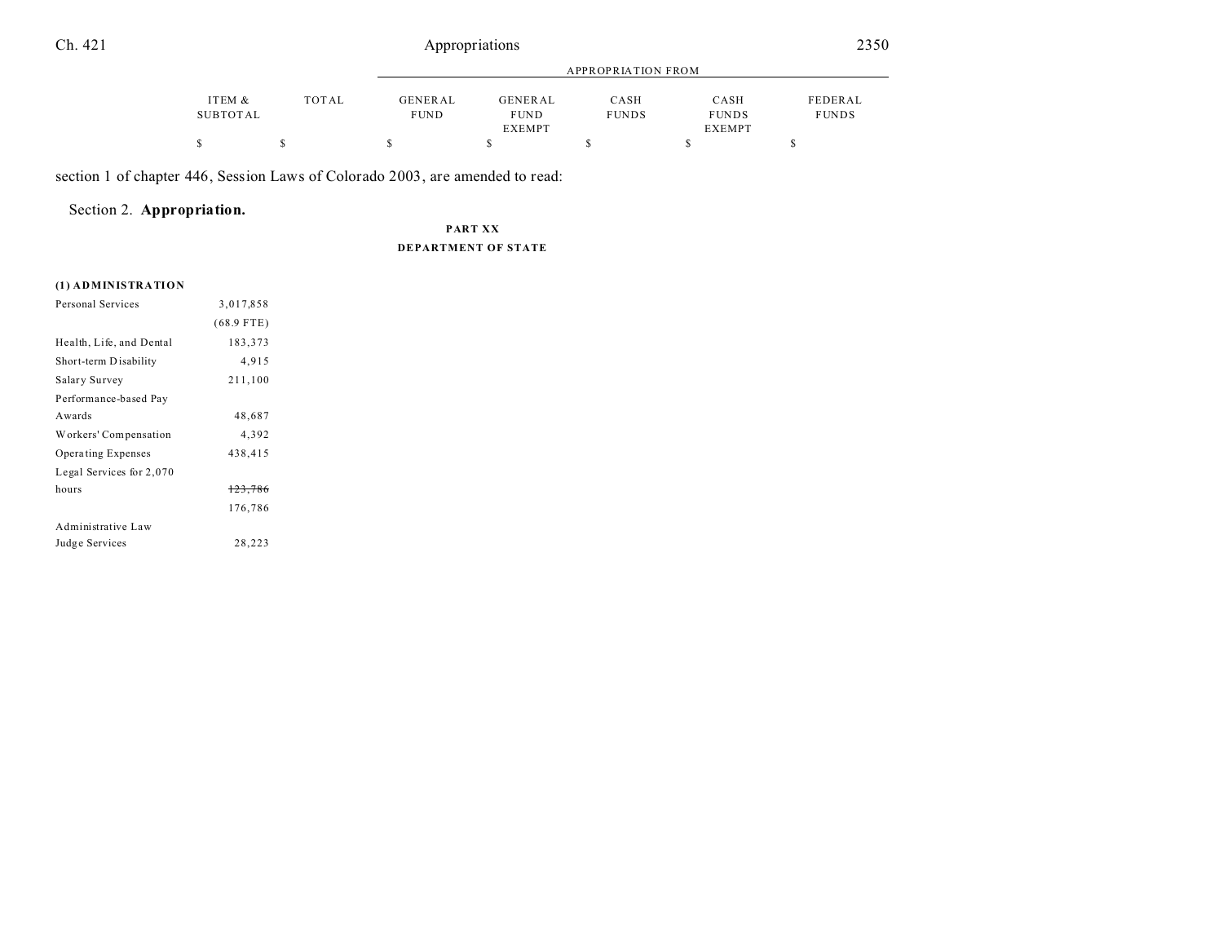### Ch. 421 Appropriations

|          |       | APPROPRIATION FROM |               |              |               |              |
|----------|-------|--------------------|---------------|--------------|---------------|--------------|
| ITEM &   | TOTAL | <b>GENERAL</b>     | GENERAL       | CASH         | CASH          | FEDERAL      |
| SUBTOTAL |       | <b>FUND</b>        | <b>FUND</b>   | <b>FUNDS</b> | <b>FUNDS</b>  | <b>FUNDS</b> |
|          |       |                    | <b>EXEMPT</b> |              | <b>EXEMPT</b> |              |
|          |       |                    |               |              |               |              |

section 1 of chapter 446, Session Laws of Colorado 2003, are amended to read:

### Section 2. **Appropriation.**

**PART XX DEPARTMENT OF STATE**

#### **(1) ADMINISTRATION**

| Personal Services        | 3,017,858    |  |
|--------------------------|--------------|--|
|                          | $(68.9$ FTE) |  |
| Health, Life, and Dental | 183,373      |  |
| Short-term Disability    | 4,915        |  |
| Salary Survey            | 211,100      |  |
| Performance-based Pay    |              |  |
| Awards                   | 48,687       |  |
| Workers' Compensation    | 4,392        |  |
| Operating Expenses       | 438,415      |  |
| Legal Services for 2,070 |              |  |
| hours                    | 123,786      |  |
|                          | 176,786      |  |
| Administrative Law       |              |  |
| Judge Services           | 28,223       |  |